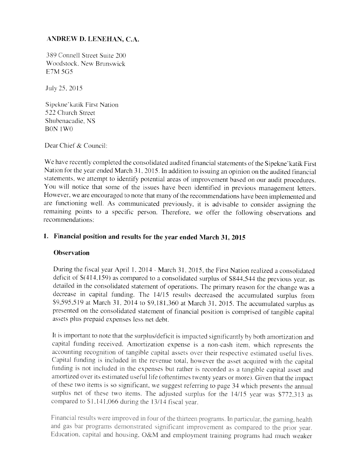# ANDREW D. LENEHAN, C.A.

389 Connell Street Suite 200 Woodstock, New Brunswick E.7M 5G5

July 25. 2015

Sipekne'katik First Nation 522 Church Street Shuhenacadie. NS BON IWO

Dear Chief & Council:

We have recently completed the consolidated audited financial statements of the Sipekne'katik First Nation for the year ended March <sup>3</sup> 1, 2015. In addition to issuing an opinion on the audited financial statements, we attempt to identify potential areas of improvement based on our audit procedures. You will notice that some of the issues have been identified in previous management letters. However, we are encouraged to note that many of the recommendations have been implemented and are functioning well. As communicated previously, it is advisable to consider assigning the remaining points to <sup>a</sup> specific person. Therefore. we offer the following observations and recommendations:

## 1. Financial position and results for the year ended March 31, <sup>2015</sup>

#### **Observation**

During the fiscal year April 1, 2014 - March 31, 2015, the First Nation realized a consolidated deficit of S(4l4,159) as compared to <sup>a</sup> consolidated surplus of \$844,544 the previous year, as detailed in the consolidated statement of operations. The primary reason for the change was <sup>a</sup> decrease in capital funding. The 13/15 results decreased the accumulated surplus from S9.595.5i9 at March 31. <sup>2014</sup> to 59.181.360 at March 31. 2015. The accumulated surplus as presented on the consolidated statement of financial position is comprised of tangible capital assets plus prepaid expenses less net debt.

It is important to note that the surplus/deficit is impacted significantly by both amortization and capital funding received, Amortization expense is <sup>a</sup> non-cash item, which represents the accounting recognition of tangible capital assets over their respective estimated useful lives. Capital funding is included in the revenue total, however the asset acquired with the capital funding is not included in the expenses but rather is recorded as a tangible capital asset and amortized over its estimated useful life (oftentimes twenty years or more). Given that the impact of these two items is so significant, we suggest referring to page 34 which presents the annual surplus net of these two items. The adjusted surplus for the 14/15 year was \$772,313 as compared to  $$1,141,066$  during the 13/14 fiscal year.

Financial results were improved in four of the thirteen programs. In particular, the gaming, health and gas bar programs demonstrated significant improvement as compared to the prior year. Education, capital and housing, O&M and employment training programs had much weaker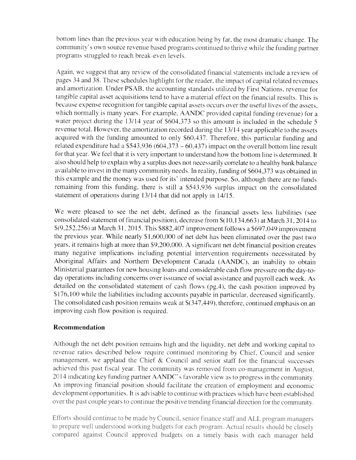bottom lines than the previous year with education being by far, the most dramatic change. The community's own source revenue based programs continued to thrive while the funding partner programs struggled to reach break-even levels.

Again, we suggest that any review of the consolidated financial statements include a review of pages 34 and 38. These schedules highlight for the reader, the impact of capital related revenues and amortization. Under PSAB, the accounting standards utilized by First Nations, revenue for tangible capital asset acquisitions tend to have a material effect on the financial results. This is because expense recognition for tangible capital assets occurs over the useful lives of the assets. which normally is many years. For example, AANDC provided capital funding (revenue) for a water project during the 13/14 year of \$604,373 so this amount is included in the schedule 5 revenue total. However, the amortization recorded during the 13/14 year applicable to the assets acquired with the funding amounted to only \$60,437. Therefore, this particular funding and related expenditure had a  $$543,936 (604,373 - 60,437)$  impact on the overall bottom line result for that year. We feel that it is very important to understand how the bottom line is determined. It also should help to explain why <sup>a</sup> surplus does not necessarily correlate to <sup>a</sup> healthy bank balance available to invest in the many community needs. In reality, funding of \$604,373 was obtained in this example and the money was used for its' intended purpose. So. although there are no funds remaining from this funding, there is still <sup>a</sup> 5543.936 surplus impact on the consolidated statement of operations during 13/14 that did not apply in 14/15.

We were <sup>p</sup>leased to see the net debt. defined as the financial assets less liabilities (see consolidated statement of financial position). decrease from 5(10,134,663) at March <sup>3</sup> 1, 2014 to S(9,252,256) at March 31.2015. This S882,307 improvement follows <sup>a</sup> 8697.049 improvement the previous year. While nearly <sup>S</sup> 1.600.000 of net debt has been eliminated over the pas<sup>t</sup> two years. it remains high at more than S9.200.000. <sup>A</sup> significant net debt financial position creates many negative implications including potential intervention requirements necessitated by Aboriginal Affairs and Northern Development Canada (AANDC). an inability to obtain Ministerial guarantees for new housing loans and considerable cash flow pressure on the day-to day operations including concerns over issuance of social assistance and payroll each week. As detailed on the consolidated statement of cash flows (pg.4). the cash position improved by <sup>S</sup> 176,100 while the liabilities including accounts payable in particular. decreased significantly. The consolidated cash position remains weak at \$(347,449), therefore, continued emphasis on an improving cash flow position is required.

#### Recommendation

Although the net debt position remains high and the liquidity, net debt and working capital to revenue ratios described below require continued monitoring by Chief, Council and senior management, we applaud the Chief & Council and seniot staff for the financial uccesses achieved this past fiscal year. The community was removed from co-management in August, 2014 indicating key funding partner AANDC's favorable view as to progress in the community. An improving financial position should facilitate the creation of employment and economic development opportunities. It is advisable to continue with practices which have been established over the past couple years to continue the positive trending financial direction for the community.

Efforts should continue to be made by Council, senior finance staff and ALL program managers to prepare well understood working budgets for each program. Actual results should be closely compared against Council approved budgets on a timely basis with each manager held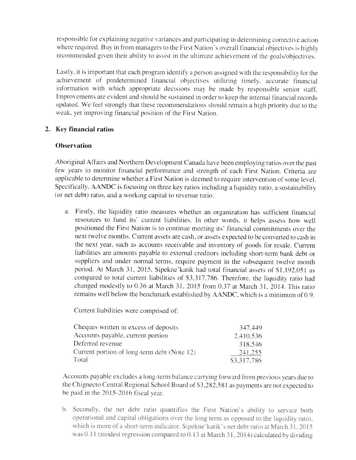responsible for explaining negative variances and participating in determining corrective action where required. Buy in from managers to the First Nation's overall financial objectives is highly recommended given their ability to assist in the ultimate achievement of the goals/objectives.

Lastly, it is important that each program identify a person assigned with the responsibility for the achievement of predetermined financial objectives utilizing timely, accurate financial information with which appropriate decisions may be made by responsible senior staff, Improvements are evident and should be sustained in order to keep the internal financial records updated. We feel strongly that these recommendations should remain a high priority due to the weak, yet improving financial position of the First Nation.

## 2. Key financial ratios

#### **Observation**

Aboriginal Affairs and Northern Development Canada have been employing ratios over the pas<sup>t</sup> few sears to monitor financial performance and strength of each First Nation. Criteria are applicable to determine whether <sup>a</sup> First Nation is deemed to require intervention of some level. Specifically, AANDC is focusing on three key ratios including a liquidity ratio, a sustainability (or net debt) ratio. and <sup>a</sup> working capital to revenue ratio.

a. Firstly. the liquidity ratio measures whether an organization has sufficient financial resources to fund its' current liabilities. In other words, it helps assess how well positioned the First Nation is to continue meeting its' financial commitments over the next twelve months. Current assets are cash. or assets expected to be converted to cash in the next year. such as accounts receivable and inventory of goods for resale. Current liabilities are amounts payable to external creditors including short-term bank debt or suppliers and under normal terms, require payment in the subsequent twelve month period. At March 31, 2015. Sipekne'katik had total financial assets of \$1,192,051 as compare<sup>d</sup> to total current liabilities of 53.3 17.786. Therefore, the liquidity ratio had changed modestly to 0.36 at March 31,2015 from 0.37 at March 31, 2014. This ratio remains well below the benchmark established by AANDC, which is <sup>a</sup> minimum of 0.9.

Current liabilities were comprised of:

| Cheques written in excess of deposits       | 347.449     |
|---------------------------------------------|-------------|
| Accounts payable, current portion           | 2.410.536   |
| Deferred revenue                            | 318.546     |
| Current portion of long-term debt (Note 12) | 241,255     |
| Total                                       | \$3,317,786 |

Accounts payable excludes a long-term balance carrying forward from previous years due to the Chignecto Central Regional School Board of \$3,282,581 as payments are not expected to be paid in the  $2015 - 2016$  fiscal year.

b. Secondly, the net debt ratio quantifies the First Nation's ability to service both operational and capital obligations over the long term as opposed to the liquidity ratio, which is more of a short-term indicator. Sipekne' katik's net debt ratio at March 31, 2015 was  $0.11$  (modest regression compared to  $0.13$  at March 31, 2014) calculated by dividing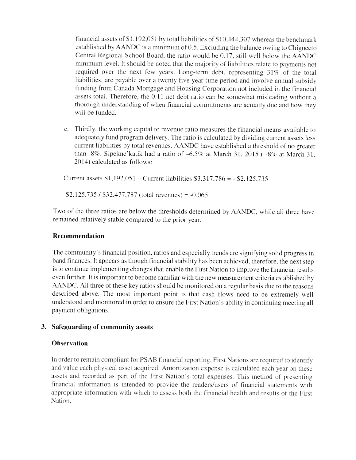financial assets of  $$1,192,051$  by total liabilities of  $$10,444,307$  whereas the benchmark established by  $\triangle$ ANDC is a minimum of 0.5. Excluding the balance owing to Chignecto Central Regional School Board, the ratio would be 0.17, still well below the AANDC minimum level. It should be noted that the majority of liabilities relate to payments not required over the next few years. Long-term debt, representing  $31\%$  of the total liabilities, are payable over <sup>a</sup> twenty five year time period and involve annual subsidy funding from Canada Mortgage and Housing Corporation not included in the financial assets total. Therefore, the 0.11 net debt ratio can be somewhat misleading without a thorough understanding of when financial commitments are actually due and how they will be funded.

c. Thirdly, the working capital to revenue ratio measures the financial means available to adequately fund program delivery. The ratio is calculated by dividing current assets less current liabilities by total revenues. AANDC have established a threshold of no greater than  $-8\%$ . Sipekne'katik had a ratio of  $-6.5\%$  at March 31, 2015 ( $-8\%$  at March 31, 20 14) calculated as follows:

Current assets  $$1,192,051 -$  Current liabilities  $$3,317,786 = - $2,125,735$ 

 $-$ \$2,125,735 / \$32,477,787 (total revenues) =  $-0.065$ 

Two of the three ratios are below the thresholds determined by AANDC, while all three have remained relatively stable compared to the prior year.

#### Recommendation

The community's financial position. ratios and especially trends are signifying solid progress in hand finances. It appears as though financial stability has been achieved, therefore, the next step is to continue implementing changes that enable the First Nation to improve the financial results even further. It is important to become familiar with the new measurement criteria established by AANDC. All three of these key ratios should be monitored on a regular basis due to the reasons described above. The most important point is that cash flows need to be extremely well understood and monitored in order to ensure the First Nation's ability in continuing meeting all payment obligations.

## 3. Safeguarding of community assets

#### **Observation**

In order to remain compliant for PSAB financial reporting, First Nations are required to identify and value each physical asset acquired. Amortization expense is calculated each year on these assets and recorded as part of the First Nation's total expenses. This method of presenting financial information is intended to provide the readers/users of financial statements with appropriate information with which to assess both the financial health and results of the First Nation.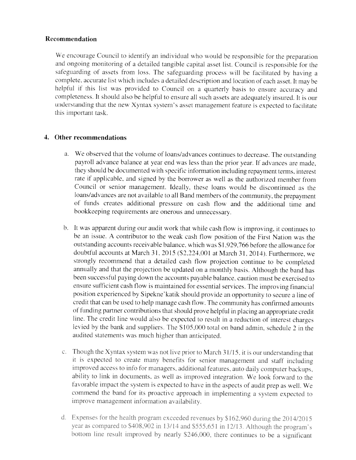#### Recommendation

We encourage Council to identify an individual who would be responsible for the preparation and ongoing monitoring of <sup>a</sup> detailed tangible capital asset list. Council is responsible for the safeguarding of assets from loss. The safeguarding process will be facilitated by having a complete, accurate list which includes a detailed description and location of each asset. It may be helpful if this list was provided to Council on a quarterly basis to ensure accuracy and completeness. It should also be helpful to ensure all such assets are adequately insured. It is our understanding that the new Xyntax system's asset management feature is expected to facilitate this important task.

### 4. Other recommendations

- a. We ohserx ed that the volume of loans/advances continues to decrease. The outstanding payroll adx ance balance at year end was less than the prior year. If advances are made. they should he documented with specific information including repayment terms, interest rate if applicable, and signed by the borrower as well as the authorized member from Council or senior management. Ideally. these loans would he discontinued as the loans/advances are not available to all Band members of the community, the prepayment of funds creates additional pressure on cash flow and the additional time and bookkeeping requirements are onerous and unnecessary.
- h. It was apparent during our audit work that while cash flow is improving, it continues to he an issue. <sup>A</sup> contributor to the weak cash flow position of the First Nation was the outstanding accounts receivable balance, which was S 1.929,766 before the allowance for doubtful accounts at March 31, 2015 (\$2,224,001 at March 31, 2014). Furthermore, we strongly recommend that <sup>a</sup> detailed cash flow projection continue to be completed annually and that the projection be updated on a monthly basis. Although the band has been successful paying down the accounts payable balance, caution must he exercised to ensure sufficient cash flow is maintained for essential services. The improving financial position experienced by Sipekne'katik should provide an opportunity to secure <sup>a</sup> line of credit that can be used to help manage cash flow. The community has confirmed amounts of funding partner contributions that should prose helpful in <sup>p</sup>lacing an appropriate credit line. The credit line would also he expected to result in <sup>a</sup> reduction of interest charges levied by the bank and suppliers. The \$105,000 total on band admin, schedule 2 in the audited statements was much higher than anticipated.
- c. Though the Xyntax system was not live prior to March  $31/15$ , it is our understanding that it is expected to create many benefits for senior management and staff including improved access to info for managers, additional features, auto daily computer backups, ability to link in documents, as well as improved integration. We look forward to the favorable impact the system is expected to have in the aspects of audit prep as well. We commend the band for its proactive approach in implementing a system expected to improve management information availability.
- d. Expenses for the health program exceeded revenues by \$162,960 during the 2014/2015 year as compared to \$408,902 in 13/14 and \$555,651 in 12/13. Although the program's bottom line result improved by nearly \$246,000, there continues to be a significant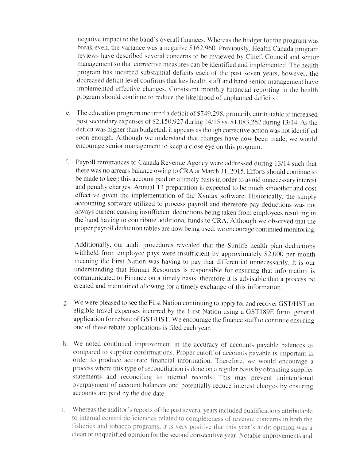negative impact to the band's overall finances. Whereas the budget for the program was break even, the variance was a negative \$162.960. Previously, Health Canada program reviews have described several concerns to be reviewed by Chief. Council and senior management so that corrective measures can be identified and implemented. The health program has incurred substantial deficits each of the past seven years. however, the decreased deficit level confirms that key health staff and hand senior management have implemented effective changes. Consistent monthly financial reporting in the health program should continue to reduce the likelihood of unplanned deficits.

- e. The education program incurred <sup>a</sup> deficit of 5749,298. primarily attributable to increased post secondary expenses of \$2,150,927 during 14/15 vs. \$1,083,262 during 13/14. As the deficit was higher than budgeted, it appears as though corrective action was not identified soon enough. Although we understand that changes have now been made, we would encourage senior management to keep a close eye on this program.
- f. Payroll remittances to Canada Revenue Agency were addressed during 13/14 such that there was no arrears balance owing to CRA at March 31, 2015. Efforts should continue to be made to keep this account paid on <sup>a</sup> timely basis in order to avoid unnecessary interest and penalty charges. Annual T4 preparation is expected to be much smoother and cost effective <sup>g</sup>iven the implementation of the Xyntax software. Historically, the simply accounting software utilized to process payroll and therefore pay deductions was not always current causing insufficient deductions being taken from employees resulting in the band having to contribute additional funds to CRA. Although we observed that the proper payroll deduction tables are now being used, we encourage continued monitoring.

Additionally, our audit procedures revealed that the Sunlife health plan deductions withheld from employee pays were insufficient by approximately \$2,000 per month meaning the First Nation was having to pay that differential unnecessarily. It is our understanding that, Human Resources is responsible for ensuring that information is communicated to Finance on <sup>a</sup> timely basis, therefore it is advisable that <sup>a</sup> process be created and maintained allowing for <sup>a</sup> timely evchange of this information.

- g. We were pleased to see the First Nation continuing to apply for and recover GST/HST on eligible travel expenses incurred by the First Nation using a GST189E form, general application for rebate of GST/HST. We encourage the finance staff to continue ensuring one of these rebate applications is filed each year.
- In. We noted continued improvement in the accuracy of accounts payable balances as compared to supplier confirmations. Proper cutoff of accounts payable is important in order to produce accurate financial information. Therefore, we would encourage a process where this type of reconciliation is done on <sup>a</sup> regular basis by obtaining supplier statements and reconciling to internal records. This may prevent unintentional overpayment of account balances and potentially reduce interest charges by ensuring accounts are paid by the due date
- Whereas the auditor's reports of the past several years included qualifications attributable i. noman comportante de componente de la completation de la fisheries and tobacco programs, it is very positive that this year's audit opinion was a clean or unqualified opinion for the second consecutive year. Notable improvements and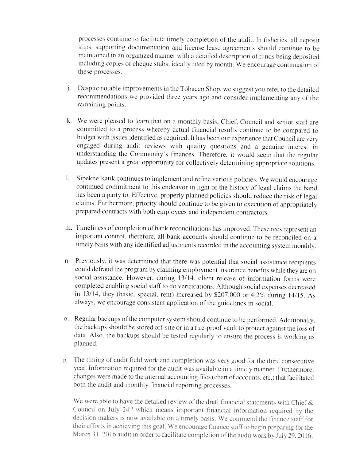processes continue to facilitate timely completion of the audit. In fisheries, all deposit slips. supporting documentation and license lease agreements should continue to he maintained in an organized manner with a detailed description of funds being deposited including copies of cheque stubs, ideally filed by month. We encourage continuation of these processes.

- i. Despite notable improvements in the Tobacco Shop, we suggest you refer to the detailed recommendations we provided three years ago and consider implementing any of the remaining points
- k. We were pleased to learn that on a monthly basis, Chief, Council and senior staff are committed to a process whereby actual financial results continue to be compared to budget with issues identified as required. It has been our experience that Council are very engaged during audit reviews with quality questions and a genuine interest in understanding the Community's finances. Therefore, it would seem that the regular updates present a great opportunity for collectively determining appropriate solutions.
- $\mathbf{I}$ . Sipekne'katik continues to implement and refine various policies. We would encourage continued commitment to this endeavor in light of the history of legal claims the band has been <sup>a</sup> party to. Effective, properly <sup>p</sup>lanned policies should reduce the risk of legal claims. Furthermore, priority should continue to be <sup>g</sup>iven to execution of appropriately prepared contracts with both employees and independent contractors.
- m. Timeliness of completion of bank reconciliations has improved. These recs represent an important control, therefore. all hank accounts should continue to be reconciled on <sup>a</sup> timely basis with any identified adjustments recorded in the accounting system monthly.
- n. Previously, it was determined that there was potential that social assistance recipients could defraud the program by claiming employment insurance benefits while they are on social assistance. However, during 13/14. client release of information forms were completed enabling social staff to do verifications. Although social expenses decreased in 13/14, they (basic, special, rent) increased by \$207,000 or 4.2% during 14/15. As always, we encourage consistent application of the guidelines in social.
- o. Regular backups of the computer system should continue to he performed. Additionally. the backups should be stored off-site or in a fire-proof vault to protect against the loss of data. Also, the backups should be tested regularly to ensure the process is working as planned
- The timing of audit field work and completion was very good for the third consecutive D. year. Information required for the audit was available in a timely manner. Furthermore, changes were made to the internal accounting files (chart of accounts, etc.) that facilitated both the audit and monthly financial reporting processes

We were able to have the detailed review of the draft financial statements with Chief  $\&$ Council on July 24<sup>th</sup> which means important financial information required by the decision makers is now available on a timely basis. We commend the finance staff for their efforts in achieving this goal. We encourage finance staff to begin preparing for the March 31, 2016 audit in order to facilitate completion of the audit work by July 29, 2016.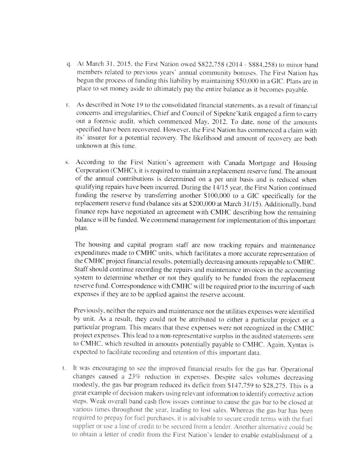- q. At March 31, 2015, the First Nation owed \$822,758 (2014 \$884,258) to minor band members related to previous years' annual community bonuses. The First Nation has begun the process of funding this liability by maintaining \$50,000 in a GIC. Plans are in <sup>p</sup>lace to set money aside to ultimately pay the entire balance as it becomes payable.
- r. As described in Note 19 to the consolidated financial statements, as a result of financial concerns and irregularities. Chief and Council of Sipekne' katik engaged a firm to carry out a forensic audit, which commenced May, 2012. To date, none of the amounts specified have been recovered. However, the First Nation has commenced a claim with its' insurer for a potential recovery. The likelihood and amount of recovery are both unknown at this time.
- s. According to the First Nation's agreement with Canada Mortgage and Housing Corporation (CMHC), it is required to maintain a replacement reserve fund. The amount of the annual contributions is determined on a per unit basis and is reduced when qualifying repairs have been incurred. During the 14/15 year. the First Nation continued funding the reserve by transferring another \$100,000 to a GIC specifically for the replacement reserve fund (balance sits at \$200,000 at March 31/15). Additionally, band finance reps have negotiated an agreement with CMHC describing how the remaining balance will be funded. We commend management for implememation of this important plan.

The housing and capital program staff are now tracking repairs and maintenance expenditures made to CMHC units, which facilitates a more accurate representation of the CMHC project financial results, potentially decreasing amounts repayable to CMHC. Staff should continue recording the repairs and maintenance invoices in the accounting system to determine whether or not they qualify to be tunded from the replacement reserve fund. Correspondence with CMHC will be required prior to the incurring of such expenses if they are to be applied against the reserve account.

Previously, neither the repairs and maintenance nor the utilities expenses were identified by unit. As a result, they could not be attributed to either a particular project or a particular program. This means that these expenses were not recognized in the CMHC project expenses. This lead to a non-representative surplus in the audited statements sent to CMHC, which resulted in amounts potentially payable to CMHC. Again, Xyntax is expected to facilitate recordine and retention of this important data.

It was encouraging to see the improved financial results for the gas bar. Operational t. changes caused a 23% reduction in expenses. Despite sales volumes decreasing modestly, the gas bar program reduced its deficit from \$147,759 to \$28,275. This is a great example of decision makers using relevant information to identify corrective action steps. Weak overall band cash flow issues continue to cause the gas bar to be closed at various times throughout the year, leading to lost sales. Whereas the gas bar has been required to prepay for fuel purchases, it is advisable to secure credit terms with the fuel supplier or use a line of credit to be secured from a lender. Another alternative could be to obtain a letter of credit from the First Nation's lender to enable establishment of a